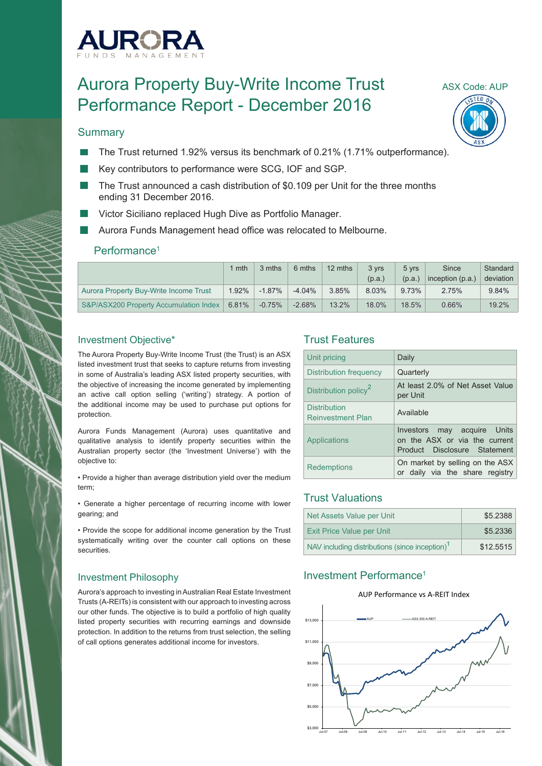

# Aurora Property Buy-Write Income Trust ASX Code: AUP Performance Report - December 2016

#### **Summary**

- The Trust returned 1.92% versus its benchmark of 0.21% (1.71% outperformance).
- Key contributors to performance were SCG, IOF and SGP.
- The Trust announced a cash distribution of \$0.109 per Unit for the three months ending 31 December 2016.
- Victor Siciliano replaced Hugh Dive as Portfolio Manager.
- Aurora Funds Management head office was relocated to Melbourne.

#### Performance1

|                                        | mth   | 3 mths    | 6 mths    | 12 mths | 3 vrs  | 5 vrs  | Since              | Standard  |
|----------------------------------------|-------|-----------|-----------|---------|--------|--------|--------------------|-----------|
|                                        |       |           |           |         | (p.a.) | (p.a.) | inception $(p.a.)$ | deviation |
| Aurora Property Buy-Write Income Trust | 1.92% | $-1.87\%$ | $-4.04\%$ | 3.85%   | 8.03%  | 9.73%  | 2.75%              | 9.84%     |
| S&P/ASX200 Property Accumulation Index | 6.81% | $-0.75\%$ | $-2.68\%$ | 13.2%   | 18.0%  | 18.5%  | 0.66%              | 19.2%     |

#### Investment Objective\*

The Aurora Property Buy-Write Income Trust (the Trust) is an ASX listed investment trust that seeks to capture returns from investing in some of Australia's leading ASX listed property securities, with the objective of increasing the income generated by implementing an active call option selling ('writing') strategy. A portion of the additional income may be used to purchase put options for protection.

Aurora Funds Management (Aurora) uses quantitative and qualitative analysis to identify property securities within the Australian property sector (the 'Investment Universe') with the objective to:

• Provide a higher than average distribution yield over the medium term;

• Generate a higher percentage of recurring income with lower gearing; and

• Provide the scope for additional income generation by the Trust systematically writing over the counter call options on these securities.

#### Investment Philosophy

Aurora's approach to investing in Australian Real Estate Investment Trusts (A-REITs) is consistent with our approach to investing across our other funds. The objective is to build a portfolio of high quality listed property securities with recurring earnings and downside protection. In addition to the returns from trust selection, the selling of call options generates additional income for investors.

## Trust Features

| Unit pricing                                    | Daily                                                                                           |
|-------------------------------------------------|-------------------------------------------------------------------------------------------------|
| Distribution frequency                          | Quarterly                                                                                       |
| Distribution policy <sup>2</sup>                | At least 2.0% of Net Asset Value<br>per Unit                                                    |
| <b>Distribution</b><br><b>Reinvestment Plan</b> | Available                                                                                       |
| Applications                                    | may acquire Units<br>Investors<br>on the ASX or via the current<br>Product Disclosure Statement |
| <b>Redemptions</b>                              | On market by selling on the ASX<br>or daily via the share registry                              |

## Trust Valuations

| Net Assets Value per Unit                                  | \$5.2388  |
|------------------------------------------------------------|-----------|
| <b>Exit Price Value per Unit</b>                           | \$5.2336  |
| NAV including distributions (since inception) <sup>1</sup> | \$12.5515 |

## Investment Performance1

#### AUP Performance vs A-REIT Index



 $TEN$